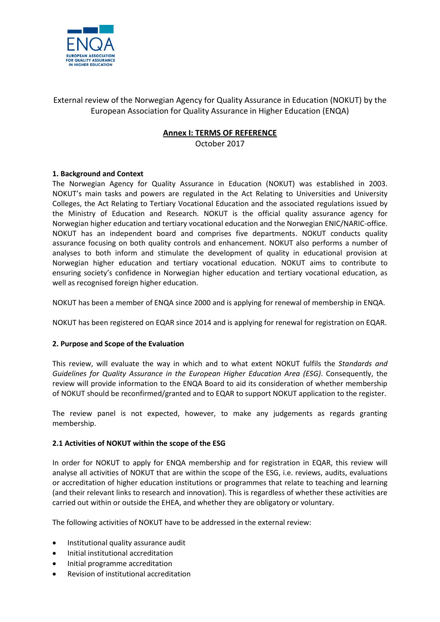

# External review of the Norwegian Agency for Quality Assurance in Education (NOKUT) by the European Association for Quality Assurance in Higher Education (ENQA)

# **Annex I: TERMS OF REFERENCE**

October 2017

## **1. Background and Context**

The Norwegian Agency for Quality Assurance in Education (NOKUT) was established in 2003. NOKUT's main tasks and powers are regulated in the Act Relating to Universities and University Colleges, the Act Relating to Tertiary Vocational Education and the associated regulations issued by the Ministry of Education and Research. NOKUT is the official quality assurance agency for Norwegian higher education and tertiary vocational education and the Norwegian ENIC/NARIC-office. NOKUT has an independent board and comprises five departments. NOKUT conducts quality assurance focusing on both quality controls and enhancement. NOKUT also performs a number of analyses to both inform and stimulate the development of quality in educational provision at Norwegian higher education and tertiary vocational education. NOKUT aims to contribute to ensuring society's confidence in Norwegian higher education and tertiary vocational education, as well as recognised foreign higher education.

NOKUT has been a member of ENQA since 2000 and is applying for renewal of membership in ENQA.

NOKUT has been registered on EQAR since 2014 and is applying for renewal for registration on EQAR.

## **2. Purpose and Scope of the Evaluation**

This review, will evaluate the way in which and to what extent NOKUT fulfils the *Standards and Guidelines for Quality Assurance in the European Higher Education Area (ESG)*. Consequently, the review will provide information to the ENQA Board to aid its consideration of whether membership of NOKUT should be reconfirmed/granted and to EQAR to support NOKUT application to the register.

The review panel is not expected, however, to make any judgements as regards granting membership.

#### **2.1 Activities of NOKUT within the scope of the ESG**

In order for NOKUT to apply for ENQA membership and for registration in EQAR, this review will analyse all activities of NOKUT that are within the scope of the ESG, i.e. reviews, audits, evaluations or accreditation of higher education institutions or programmes that relate to teaching and learning (and their relevant links to research and innovation). This is regardless of whether these activities are carried out within or outside the EHEA, and whether they are obligatory or voluntary.

The following activities of NOKUT have to be addressed in the external review:

- Institutional quality assurance audit
- Initial institutional accreditation
- Initial programme accreditation
- Revision of institutional accreditation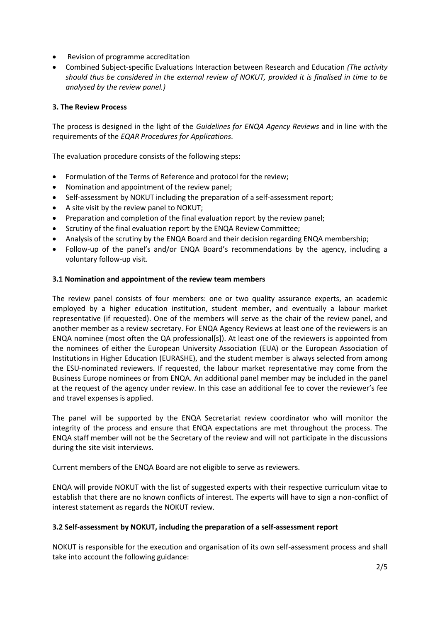- Revision of programme accreditation
- Combined Subject‐specific Evaluations Interaction between Research and Education *(The activity should thus be considered in the external review of NOKUT, provided it is finalised in time to be analysed by the review panel.)*

### **3. The Review Process**

The process is designed in the light of the *Guidelines for ENQA Agency Reviews* and in line with the requirements of the *EQAR Procedures for Applications*.

The evaluation procedure consists of the following steps:

- Formulation of the Terms of Reference and protocol for the review;
- Nomination and appointment of the review panel;
- Self-assessment by NOKUT including the preparation of a self-assessment report;
- A site visit by the review panel to NOKUT;
- Preparation and completion of the final evaluation report by the review panel;
- Scrutiny of the final evaluation report by the ENQA Review Committee;
- Analysis of the scrutiny by the ENQA Board and their decision regarding ENQA membership;
- Follow-up of the panel's and/or ENQA Board's recommendations by the agency, including a voluntary follow-up visit.

#### **3.1 Nomination and appointment of the review team members**

The review panel consists of four members: one or two quality assurance experts, an academic employed by a higher education institution, student member, and eventually a labour market representative (if requested). One of the members will serve as the chair of the review panel, and another member as a review secretary. For ENQA Agency Reviews at least one of the reviewers is an ENQA nominee (most often the QA professional[s]). At least one of the reviewers is appointed from the nominees of either the European University Association (EUA) or the European Association of Institutions in Higher Education (EURASHE), and the student member is always selected from among the ESU-nominated reviewers. If requested, the labour market representative may come from the Business Europe nominees or from ENQA. An additional panel member may be included in the panel at the request of the agency under review. In this case an additional fee to cover the reviewer's fee and travel expenses is applied.

The panel will be supported by the ENQA Secretariat review coordinator who will monitor the integrity of the process and ensure that ENQA expectations are met throughout the process. The ENQA staff member will not be the Secretary of the review and will not participate in the discussions during the site visit interviews.

Current members of the ENQA Board are not eligible to serve as reviewers.

ENQA will provide NOKUT with the list of suggested experts with their respective curriculum vitae to establish that there are no known conflicts of interest. The experts will have to sign a non-conflict of interest statement as regards the NOKUT review.

#### **3.2 Self-assessment by NOKUT, including the preparation of a self-assessment report**

NOKUT is responsible for the execution and organisation of its own self-assessment process and shall take into account the following guidance: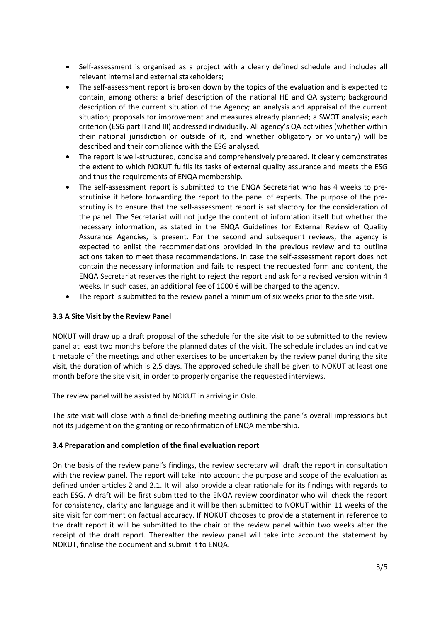- Self-assessment is organised as a project with a clearly defined schedule and includes all relevant internal and external stakeholders;
- The self-assessment report is broken down by the topics of the evaluation and is expected to contain, among others: a brief description of the national HE and QA system; background description of the current situation of the Agency; an analysis and appraisal of the current situation; proposals for improvement and measures already planned; a SWOT analysis; each criterion (ESG part II and III) addressed individually. All agency's QA activities (whether within their national jurisdiction or outside of it, and whether obligatory or voluntary) will be described and their compliance with the ESG analysed.
- The report is well-structured, concise and comprehensively prepared. It clearly demonstrates the extent to which NOKUT fulfils its tasks of external quality assurance and meets the ESG and thus the requirements of ENQA membership.
- The self-assessment report is submitted to the ENQA Secretariat who has 4 weeks to prescrutinise it before forwarding the report to the panel of experts. The purpose of the prescrutiny is to ensure that the self-assessment report is satisfactory for the consideration of the panel. The Secretariat will not judge the content of information itself but whether the necessary information, as stated in the ENQA Guidelines for External Review of Quality Assurance Agencies, is present. For the second and subsequent reviews, the agency is expected to enlist the recommendations provided in the previous review and to outline actions taken to meet these recommendations. In case the self-assessment report does not contain the necessary information and fails to respect the requested form and content, the ENQA Secretariat reserves the right to reject the report and ask for a revised version within 4 weeks. In such cases, an additional fee of 1000 € will be charged to the agency.
- The report is submitted to the review panel a minimum of six weeks prior to the site visit.

#### **3.3 A Site Visit by the Review Panel**

NOKUT will draw up a draft proposal of the schedule for the site visit to be submitted to the review panel at least two months before the planned dates of the visit. The schedule includes an indicative timetable of the meetings and other exercises to be undertaken by the review panel during the site visit, the duration of which is 2,5 days. The approved schedule shall be given to NOKUT at least one month before the site visit, in order to properly organise the requested interviews.

The review panel will be assisted by NOKUT in arriving in Oslo.

The site visit will close with a final de-briefing meeting outlining the panel's overall impressions but not its judgement on the granting or reconfirmation of ENQA membership.

#### **3.4 Preparation and completion of the final evaluation report**

On the basis of the review panel's findings, the review secretary will draft the report in consultation with the review panel. The report will take into account the purpose and scope of the evaluation as defined under articles 2 and 2.1. It will also provide a clear rationale for its findings with regards to each ESG. A draft will be first submitted to the ENQA review coordinator who will check the report for consistency, clarity and language and it will be then submitted to NOKUT within 11 weeks of the site visit for comment on factual accuracy. If NOKUT chooses to provide a statement in reference to the draft report it will be submitted to the chair of the review panel within two weeks after the receipt of the draft report. Thereafter the review panel will take into account the statement by NOKUT, finalise the document and submit it to ENQA.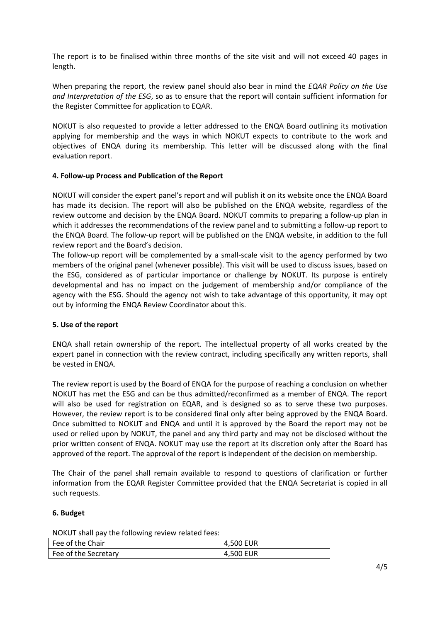The report is to be finalised within three months of the site visit and will not exceed 40 pages in length.

When preparing the report, the review panel should also bear in mind the *EQAR Policy on the Use and Interpretation of the ESG*, so as to ensure that the report will contain sufficient information for the Register Committee for application to EQAR.

NOKUT is also requested to provide a letter addressed to the ENQA Board outlining its motivation applying for membership and the ways in which NOKUT expects to contribute to the work and objectives of ENQA during its membership. This letter will be discussed along with the final evaluation report.

### **4. Follow-up Process and Publication of the Report**

NOKUT will consider the expert panel's report and will publish it on its website once the ENQA Board has made its decision. The report will also be published on the ENQA website, regardless of the review outcome and decision by the ENQA Board. NOKUT commits to preparing a follow-up plan in which it addresses the recommendations of the review panel and to submitting a follow-up report to the ENQA Board. The follow-up report will be published on the ENQA website, in addition to the full review report and the Board's decision.

The follow-up report will be complemented by a small-scale visit to the agency performed by two members of the original panel (whenever possible). This visit will be used to discuss issues, based on the ESG, considered as of particular importance or challenge by NOKUT. Its purpose is entirely developmental and has no impact on the judgement of membership and/or compliance of the agency with the ESG. Should the agency not wish to take advantage of this opportunity, it may opt out by informing the ENQA Review Coordinator about this.

#### **5. Use of the report**

ENQA shall retain ownership of the report. The intellectual property of all works created by the expert panel in connection with the review contract, including specifically any written reports, shall be vested in ENQA.

The review report is used by the Board of ENQA for the purpose of reaching a conclusion on whether NOKUT has met the ESG and can be thus admitted/reconfirmed as a member of ENQA. The report will also be used for registration on EQAR, and is designed so as to serve these two purposes. However, the review report is to be considered final only after being approved by the ENQA Board. Once submitted to NOKUT and ENQA and until it is approved by the Board the report may not be used or relied upon by NOKUT, the panel and any third party and may not be disclosed without the prior written consent of ENQA. NOKUT may use the report at its discretion only after the Board has approved of the report. The approval of the report is independent of the decision on membership.

The Chair of the panel shall remain available to respond to questions of clarification or further information from the EQAR Register Committee provided that the ENQA Secretariat is copied in all such requests.

## **6. Budget**

NOKUT shall pay the following review related fees:

| Fee of the Chair     | 4,500 EUR |
|----------------------|-----------|
| Fee of the Secretary | 4,500 EUR |